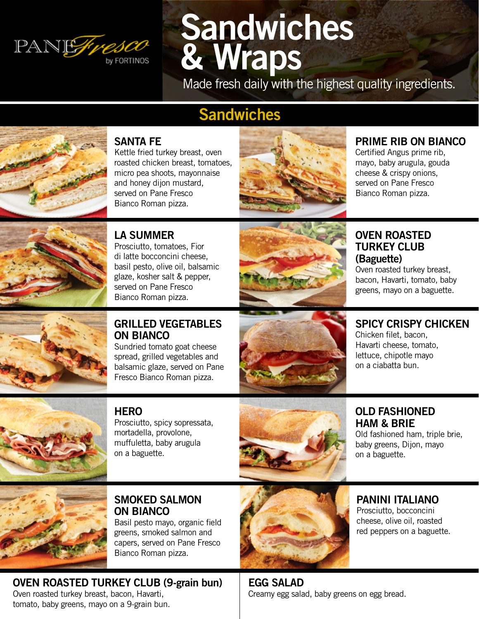

# **Sandwiches & Wraps**

Made fresh daily with the highest quality ingredients.

### **Sandwiches**



### **SANTA FE**

Kettle fried turkey breast, oven roasted chicken breast, tomatoes, micro pea shoots, mayonnaise and honey dijon mustard, served on Pane Fresco Bianco Roman pizza.



### **PRIME RIB ON BIANCO**

Certified Angus prime rib, mayo, baby arugula, gouda cheese & crispy onions, served on Pane Fresco Bianco Roman pizza.



**LA SUMMER** Prosciutto, tomatoes, Fior di latte bocconcini cheese, basil pesto, olive oil, balsamic glaze, kosher salt & pepper, served on Pane Fresco Bianco Roman pizza.



### **OVEN ROASTED TURKEY CLUB (Baguette)**

Oven roasted turkey breast, bacon, Havarti, tomato, baby greens, mayo on a baguette.

### **GRILLED VEGETABLES ON BIANCO**

Sundried tomato goat cheese spread, grilled vegetables and balsamic glaze, served on Pane Fresco Bianco Roman pizza.



### **SPICY CRISPY CHICKEN**

Chicken filet, bacon, Havarti cheese, tomato, lettuce, chipotle mayo on a ciabatta bun.



#### **HERO** Prosciutto, spicy sopressata, mortadella, provolone, muffuletta, baby arugula

on a baguette.

#### **OLD FASHIONED HAM & BRIE** Old fashioned ham, triple brie,

baby greens, Dijon, mayo on a baguette.



**SMOKED SALMON ON BIANCO**

Basil pesto mayo, organic field greens, smoked salmon and capers, served on Pane Fresco Bianco Roman pizza.

**OVEN ROASTED TURKEY CLUB (9-grain bun)** Oven roasted turkey breast, bacon, Havarti, tomato, baby greens, mayo on a 9-grain bun.



**PANINI ITALIANO** Prosciutto, bocconcini cheese, olive oil, roasted red peppers on a baguette.

**EGG SALAD** Creamy egg salad, baby greens on egg bread.